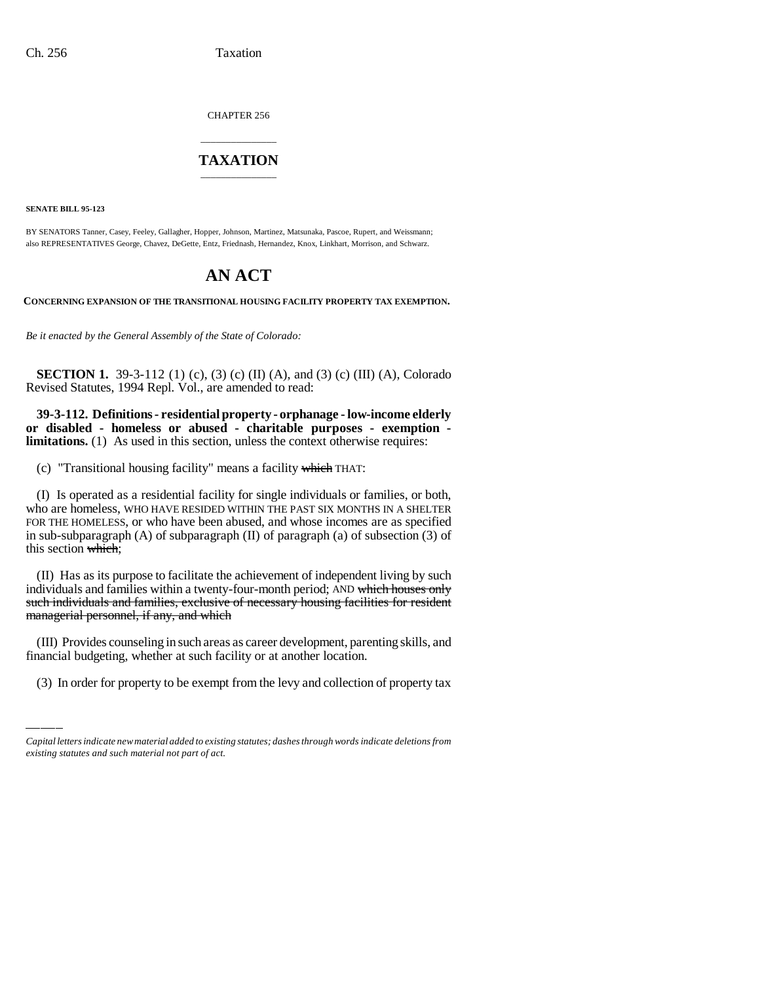CHAPTER 256

## \_\_\_\_\_\_\_\_\_\_\_\_\_\_\_ **TAXATION** \_\_\_\_\_\_\_\_\_\_\_\_\_\_\_

**SENATE BILL 95-123**

BY SENATORS Tanner, Casey, Feeley, Gallagher, Hopper, Johnson, Martinez, Matsunaka, Pascoe, Rupert, and Weissmann; also REPRESENTATIVES George, Chavez, DeGette, Entz, Friednash, Hernandez, Knox, Linkhart, Morrison, and Schwarz.

## **AN ACT**

**CONCERNING EXPANSION OF THE TRANSITIONAL HOUSING FACILITY PROPERTY TAX EXEMPTION.**

*Be it enacted by the General Assembly of the State of Colorado:*

**SECTION 1.** 39-3-112 (1) (c), (3) (c) (II) (A), and (3) (c) (III) (A), Colorado Revised Statutes, 1994 Repl. Vol., are amended to read:

**39-3-112. Definitions - residential property - orphanage - low-income elderly or disabled - homeless or abused - charitable purposes - exemption limitations.** (1) As used in this section, unless the context otherwise requires:

(c) "Transitional housing facility" means a facility which THAT:

(I) Is operated as a residential facility for single individuals or families, or both, who are homeless, WHO HAVE RESIDED WITHIN THE PAST SIX MONTHS IN A SHELTER FOR THE HOMELESS, or who have been abused, and whose incomes are as specified in sub-subparagraph (A) of subparagraph (II) of paragraph (a) of subsection (3) of this section which;

(II) Has as its purpose to facilitate the achievement of independent living by such individuals and families within a twenty-four-month period; AND which houses only such individuals and families, exclusive of necessary housing facilities for resident managerial personnel, if any, and which

(III) Provides counseling in such areas as career development, parenting skills, and financial budgeting, whether at such facility or at another location.

(3) In order for property to be exempt from the levy and collection of property tax

*Capital letters indicate new material added to existing statutes; dashes through words indicate deletions from existing statutes and such material not part of act.*